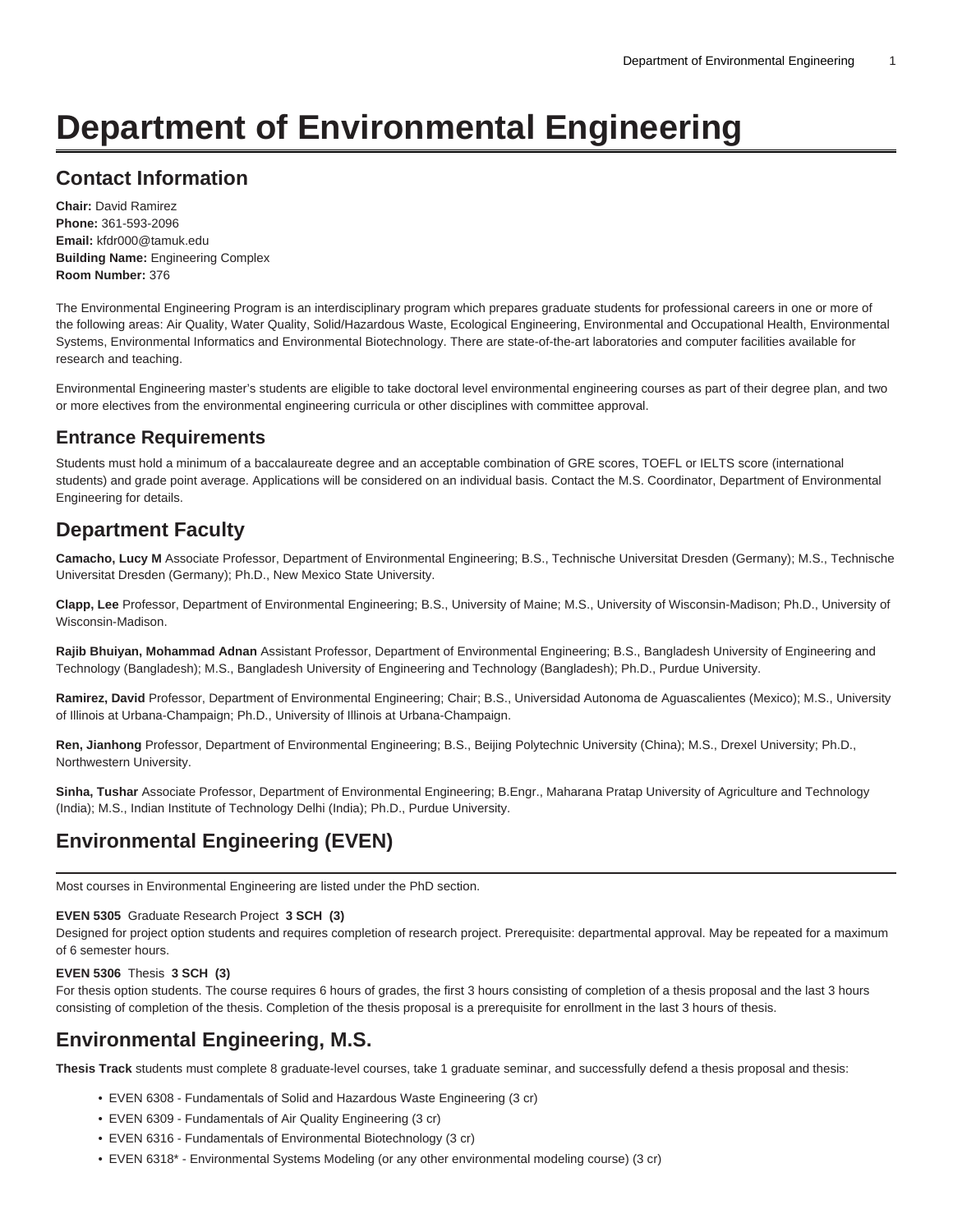# **Department of Environmental Engineering**

### **Contact Information**

**Chair:** David Ramirez **Phone:** 361-593-2096 **Email:** [kfdr000@tamuk.edu](mailto:kfdr000@tamuk.edu) **Building Name:** Engineering Complex **Room Number:** 376

The Environmental Engineering Program is an interdisciplinary program which prepares graduate students for professional careers in one or more of the following areas: Air Quality, Water Quality, Solid/Hazardous Waste, Ecological Engineering, Environmental and Occupational Health, Environmental Systems, Environmental Informatics and Environmental Biotechnology. There are state-of-the-art laboratories and computer facilities available for research and teaching.

Environmental Engineering master's students are eligible to take doctoral level environmental engineering courses as part of their degree plan, and two or more electives from the environmental engineering curricula or other disciplines with committee approval.

#### **Entrance Requirements**

Students must hold a minimum of a baccalaureate degree and an acceptable combination of GRE scores, TOEFL or IELTS score (international students) and grade point average. Applications will be considered on an individual basis. Contact the M.S. Coordinator, Department of Environmental Engineering for details.

## **Department Faculty**

**Camacho, Lucy M** Associate Professor, Department of Environmental Engineering; B.S., Technische Universitat Dresden (Germany); M.S., Technische Universitat Dresden (Germany); Ph.D., New Mexico State University.

**Clapp, Lee** Professor, Department of Environmental Engineering; B.S., University of Maine; M.S., University of Wisconsin-Madison; Ph.D., University of Wisconsin-Madison.

**Rajib Bhuiyan, Mohammad Adnan** Assistant Professor, Department of Environmental Engineering; B.S., Bangladesh University of Engineering and Technology (Bangladesh); M.S., Bangladesh University of Engineering and Technology (Bangladesh); Ph.D., Purdue University.

**Ramirez, David** Professor, Department of Environmental Engineering; Chair; B.S., Universidad Autonoma de Aguascalientes (Mexico); M.S., University of Illinois at Urbana-Champaign; Ph.D., University of Illinois at Urbana-Champaign.

**Ren, Jianhong** Professor, Department of Environmental Engineering; B.S., Beijing Polytechnic University (China); M.S., Drexel University; Ph.D., Northwestern University.

**Sinha, Tushar** Associate Professor, Department of Environmental Engineering; B.Engr., Maharana Pratap University of Agriculture and Technology (India); M.S., Indian Institute of Technology Delhi (India); Ph.D., Purdue University.

## **Environmental Engineering (EVEN)**

Most courses in Environmental Engineering are listed under the PhD section.

#### **EVEN 5305** Graduate Research Project **3 SCH (3)**

Designed for project option students and requires completion of research project. Prerequisite: departmental approval. May be repeated for a maximum of 6 semester hours.

#### **EVEN 5306** Thesis **3 SCH (3)**

For thesis option students. The course requires 6 hours of grades, the first 3 hours consisting of completion of a thesis proposal and the last 3 hours consisting of completion of the thesis. Completion of the thesis proposal is a prerequisite for enrollment in the last 3 hours of thesis.

#### **Environmental Engineering, M.S.**

**Thesis Track** students must complete 8 graduate-level courses, take 1 graduate seminar, and successfully defend a thesis proposal and thesis:

- EVEN 6308 Fundamentals of Solid and Hazardous Waste Engineering (3 cr)
- EVEN 6309 Fundamentals of Air Quality Engineering (3 cr)
- EVEN 6316 Fundamentals of Environmental Biotechnology (3 cr)
- EVEN 6318\* Environmental Systems Modeling (or any other environmental modeling course) (3 cr)